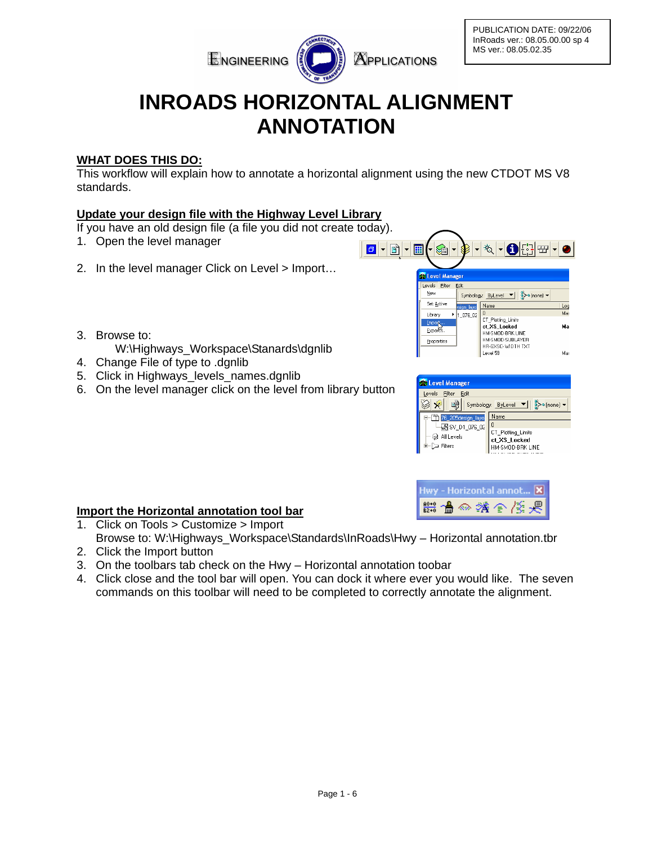

PUBLICATION DATE: 09/22/06 InRoads ver.: 08.05.00.00 sp 4 MS ver.: 08.05.02.35

# **INROADS HORIZONTAL ALIGNMENT ANNOTATION**

# **WHAT DOES THIS DO:**

This workflow will explain how to annotate a horizontal alignment using the new CTDOT MS V8 standards.

# **Update your design file with the Highway Level Library**

If you have an old design file (a file you did not create today).

- 1. Open the level manager
- 2. In the level manager Click on Level > Import...
- 3. Browse to:
	- W:\Highways\_Workspace\Stanards\dgnlib
- 4. Change File of type to .dgnlib
- 5. Click in Highways levels names.dgnlib
- 6. On the level manager click on the level from library button



| Level Manager            |                    |
|--------------------------|--------------------|
| Levels<br>Filter<br>Edit |                    |
|                          | Symbology: ByLevel |
| 6 205design lave         | Name               |
| <b>M</b> SV D1 076 02    | l O                |
| All Levels               | CT_Plotting_Limits |
|                          | ct XS_Locked       |
| Filters                  | HM-SMOD-BRK LINE   |
|                          |                    |

| Hwy - Horizontal annot X |  |
|--------------------------|--|
| ■ ▲ ※ ※ → ※ ※            |  |

#### **Import the Horizontal annotation tool bar** 1. Click on Tools > Customize > Import Browse to: W:\Highways\_Workspace\Standards\InRoads\Hwy – Horizontal annotation.tbr

- 2. Click the Import button
- 3. On the toolbars tab check on the Hwy Horizontal annotation toobar
- 4. Click close and the tool bar will open. You can dock it where ever you would like. The seven commands on this toolbar will need to be completed to correctly annotate the alignment.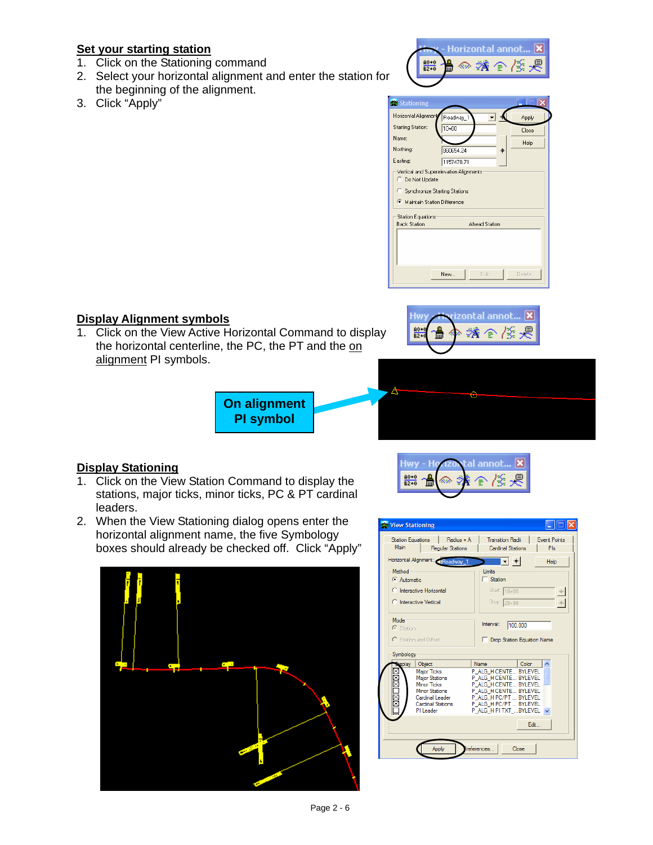# **Set your starting station**

- 1. Click on the Stationing command
- 2. Select your horizontal alignment and enter the station for the beginning of the alignment.
- 3. Click "Apply"



| Stationing                                     |                                                                         |       |
|------------------------------------------------|-------------------------------------------------------------------------|-------|
| Horizontal Alignment                           | Roadway_1                                                               | Apply |
| <b>Starting Station:</b>                       | $10 + 00$                                                               | Close |
| Name:                                          |                                                                         | Help  |
| Northing:                                      | 860654.24<br>ф                                                          |       |
| Easting:                                       | 1157470.71                                                              |       |
| C Do Not Update<br>Maintain Station Difference | Vertical and Superelevation Alignments<br>Synchronize Starting Stations |       |
|                                                |                                                                         |       |
| <b>Station Equations</b>                       |                                                                         |       |
| <b>Back Station</b>                            | <b>Ahead Station</b>                                                    |       |
|                                                |                                                                         |       |

## **Display Alignment symbols**

1. Click on the View Active Horizontal Command to display the horizontal centerline, the PC, the PT and the on alignment PI symbols.



al annot...

×



Hwy.  $rac{40+0}{82+0}$  -

∞

## **Display Stationing**

- 1. Click on the View Station Command to display the stations, major ticks, minor ticks, PC & PT cardinal leaders.
- 2. When the View Stationing dialog opens enter the horizontal alignment name, the five Symbology boxes should already be checked off. Click "Apply"



| <b>X</b> View Stationing                  |                                                                                                                                                           |                                                                                                                                                                                                  |
|-------------------------------------------|-----------------------------------------------------------------------------------------------------------------------------------------------------------|--------------------------------------------------------------------------------------------------------------------------------------------------------------------------------------------------|
| <b>Station Equations</b><br><b>Main</b>   | Radius + A<br>Regular Stations                                                                                                                            | <b>Transition Radii</b><br><b>Event Points</b><br>Cardinal Stations<br>Pls                                                                                                                       |
|                                           | Horizontal Alignment: Roadway_1                                                                                                                           | $ \bullet $ $* $<br><b>Help</b>                                                                                                                                                                  |
| Method<br>C Automatic                     | C Interactive Horizontal                                                                                                                                  | Limits<br>$\Box$ Station<br>Start: 10+00                                                                                                                                                         |
| C Interactive Vertical                    |                                                                                                                                                           | Stop: 29+99                                                                                                                                                                                      |
| Mode<br>C Station<br>C Station and Offset |                                                                                                                                                           | Interval:<br>100,000<br>Drop Station Equation Name                                                                                                                                               |
| Symbology                                 |                                                                                                                                                           |                                                                                                                                                                                                  |
| isplay                                    | Object<br><b>Major Ticks</b><br><b>Major Stations</b><br>Minor Ticks<br><b>Minor Stations</b><br>Cardinal Leader<br><b>Cardinal Stations</b><br>PI Leader | Color<br>Name<br>P ALG H CENTE BYLEVEL<br>P ALG H CENTE BYLEVEL<br>P ALG H CENTE BYLEVEL<br>P ALG H CENTE BYLEVEL<br>P ALG H PC/PT  BYLEVEL<br>P ALG H PC/PT  BYLEVEL<br>P ALG H PI TXT  BYLEVEL |
|                                           |                                                                                                                                                           | Fdit -                                                                                                                                                                                           |
|                                           | Apply                                                                                                                                                     | references<br>Close                                                                                                                                                                              |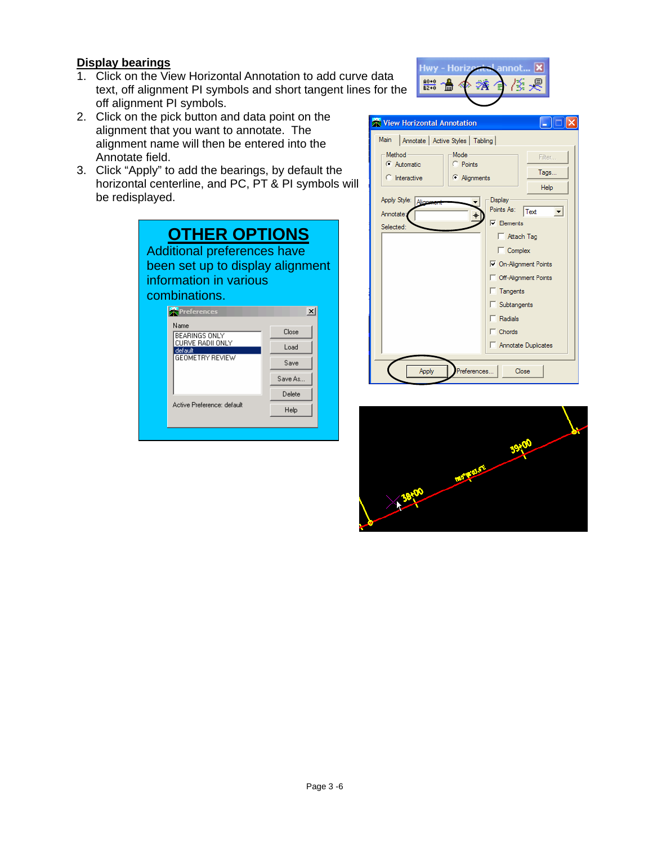#### **Display bearings**

- 1. Click on the View Horizontal Annotation to add curve data text, off alignment PI symbols and short tangent lines for the off alignment PI symbols.
- 2. Click on the pick button and data point on the alignment that you want to annotate. The alignment name will then be entered into the Annotate field.
- 3. Click "Apply" to add the bearings, by default the horizontal centerline, and PC, PT & PI symbols will be redisplayed.

| <b>OTHER OPTIONS</b><br><b>Additional preferences have</b><br>been set up to display alignment<br>information in various<br>combinations. |                           |  |  |  |
|-------------------------------------------------------------------------------------------------------------------------------------------|---------------------------|--|--|--|
| Preferences                                                                                                                               | $\boldsymbol{\mathsf{x}}$ |  |  |  |
| Name<br>BEARINGS ONLY<br>CURVE RADII ONLY<br>default<br><b>GEOMETRY REVIEW</b>                                                            | Close<br>Load<br>Save     |  |  |  |
| Active Preference: default                                                                                                                | Save As<br>Delete<br>Help |  |  |  |





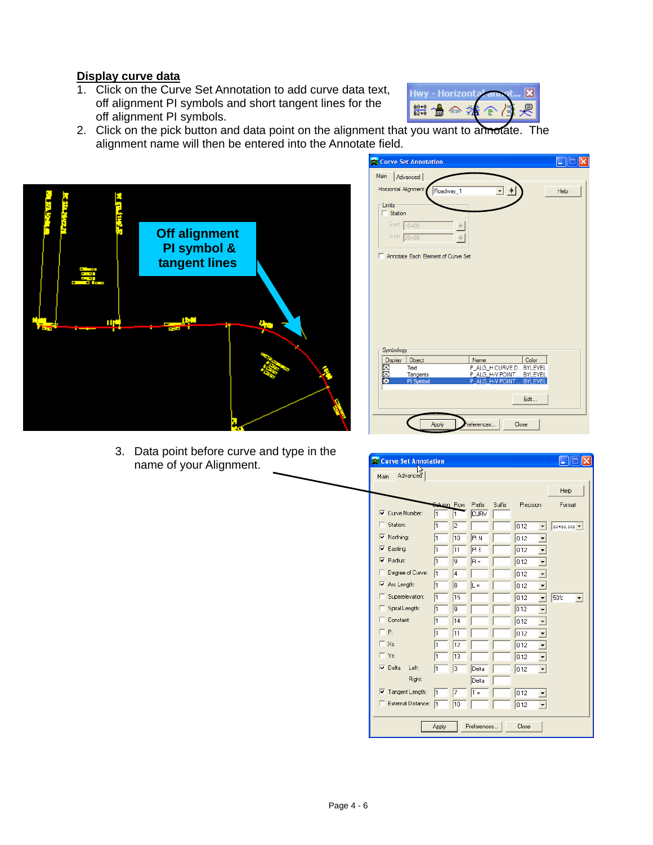#### **Display curve data**

1. Click on the Curve Set Annotation to add curve data text, off alignment PI symbols and short tangent lines for the off alignment PI symbols.



2. Click on the pick button and data point on the alignment that you want to annotate. The alignment name will then be entered into the Annotate field.



3. Data point before curve and type in the name of your Alignment.

| Main<br>Advanced<br>Horizontal Alignment:<br>Roadway_1<br>$\ddot{\phantom{1}}$<br>Help<br>- Limits<br>$\Box$ Station<br>Start: 10+00<br>Stop: 29+99<br>Annotate Each Element of Curve Set<br>Symbology<br>Display<br>Color<br>Name<br>Object<br>MMM<br>P_ALG_H CURVE D BYLEVEL<br>Text<br>P ALG H-V POINT  BYLEVEL<br>Tangents<br>PI Symbol<br>P ALG H-V POINT<br><b>BYLEVEI</b><br>Edit<br>Apply<br>Close<br>eferences | <b>Curve Set Annotation</b> | ш |
|-------------------------------------------------------------------------------------------------------------------------------------------------------------------------------------------------------------------------------------------------------------------------------------------------------------------------------------------------------------------------------------------------------------------------|-----------------------------|---|
|                                                                                                                                                                                                                                                                                                                                                                                                                         |                             |   |
|                                                                                                                                                                                                                                                                                                                                                                                                                         |                             |   |
|                                                                                                                                                                                                                                                                                                                                                                                                                         |                             |   |
|                                                                                                                                                                                                                                                                                                                                                                                                                         |                             |   |
|                                                                                                                                                                                                                                                                                                                                                                                                                         |                             |   |
|                                                                                                                                                                                                                                                                                                                                                                                                                         |                             |   |
|                                                                                                                                                                                                                                                                                                                                                                                                                         |                             |   |
|                                                                                                                                                                                                                                                                                                                                                                                                                         |                             |   |
|                                                                                                                                                                                                                                                                                                                                                                                                                         |                             |   |
|                                                                                                                                                                                                                                                                                                                                                                                                                         |                             |   |
|                                                                                                                                                                                                                                                                                                                                                                                                                         |                             |   |
|                                                                                                                                                                                                                                                                                                                                                                                                                         |                             |   |
|                                                                                                                                                                                                                                                                                                                                                                                                                         |                             |   |
|                                                                                                                                                                                                                                                                                                                                                                                                                         |                             |   |
|                                                                                                                                                                                                                                                                                                                                                                                                                         |                             |   |
|                                                                                                                                                                                                                                                                                                                                                                                                                         |                             |   |
|                                                                                                                                                                                                                                                                                                                                                                                                                         |                             |   |
|                                                                                                                                                                                                                                                                                                                                                                                                                         |                             |   |
|                                                                                                                                                                                                                                                                                                                                                                                                                         |                             |   |
|                                                                                                                                                                                                                                                                                                                                                                                                                         |                             |   |
|                                                                                                                                                                                                                                                                                                                                                                                                                         |                             |   |
|                                                                                                                                                                                                                                                                                                                                                                                                                         |                             |   |
|                                                                                                                                                                                                                                                                                                                                                                                                                         |                             |   |
|                                                                                                                                                                                                                                                                                                                                                                                                                         |                             |   |
|                                                                                                                                                                                                                                                                                                                                                                                                                         |                             |   |
|                                                                                                                                                                                                                                                                                                                                                                                                                         |                             |   |
|                                                                                                                                                                                                                                                                                                                                                                                                                         |                             |   |
|                                                                                                                                                                                                                                                                                                                                                                                                                         |                             |   |
|                                                                                                                                                                                                                                                                                                                                                                                                                         |                             |   |

| <b>Curve Set Annotation</b><br>Advanced |                  |    |                       |        |           |                                                     |
|-----------------------------------------|------------------|----|-----------------------|--------|-----------|-----------------------------------------------------|
| Main                                    |                  |    |                       |        |           | Help                                                |
| $\nabla$ Curve Number:                  | Sekuman Row<br>1 | 1  | Prefix<br><b>CURV</b> | Suffix | Precision | Format                                              |
| Station:<br>U                           | 1                | 2  |                       |        | 0.12      | $ss + ss$ .sss $\blacktriangledown$                 |
| $\nabla$ Northing:                      | 1                | 10 | <b>PIN</b>            |        | 0.12      | ٠                                                   |
| $\nabla$ Easting:                       | 1                | 11 | <b>PIE</b>            |        | 0.12      | ▼                                                   |
| $\nabla$ Radius:                        | 1                | l9 | lB =                  |        | 0.12      | $\overline{\phantom{0}}$                            |
| Degree of Curve:                        | h                | 4  |                       |        | 0.12      | ▾                                                   |
| $\overline{\vee}$ Arc Length:           | l1               | 8  | $L =$                 |        | 0.12      |                                                     |
| Superelevation:<br>. .                  | h                | 15 |                       |        | 0.12      | 50%<br>$\blacktriangledown$<br>$\blacktriangledown$ |
| Spiral Length:<br>ш                     | l1               | l9 |                       |        | 0.12      | ▼                                                   |
| Constant:                               | h                | 14 |                       |        | 0.12      | $\overline{\phantom{a}}$                            |
| ПP:                                     | 1                | 11 |                       |        | 0.12      | $\overline{\phantom{0}}$                            |
| $\Gamma$ Xs:                            | 1                | 12 |                       |        | 0.12      | $\overline{\phantom{0}}$                            |
| $\Gamma$ Ys:                            | $\mathbf{1}$     | 13 |                       |        | 0.12      | $\overline{\phantom{a}}$                            |
| $\nabla$ Delta<br>Left:                 | l1               | Iз | Delta                 |        | 0.12      | $\cdot$                                             |
| <b>Right:</b>                           |                  |    | Delta                 |        |           |                                                     |
| $\overline{\vee}$ Tangent Length:       | l1               | 7  | $T =$                 |        | 0.12      |                                                     |
| External Distance:                      | 1                | 10 |                       |        | 0.12      |                                                     |
|                                         | Apply            |    | Preferences           |        | Close     |                                                     |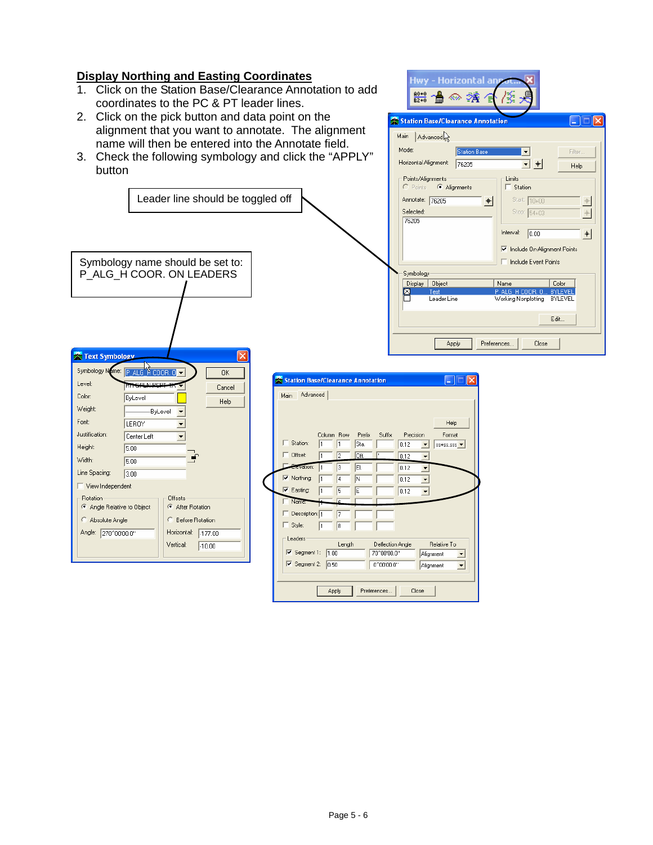